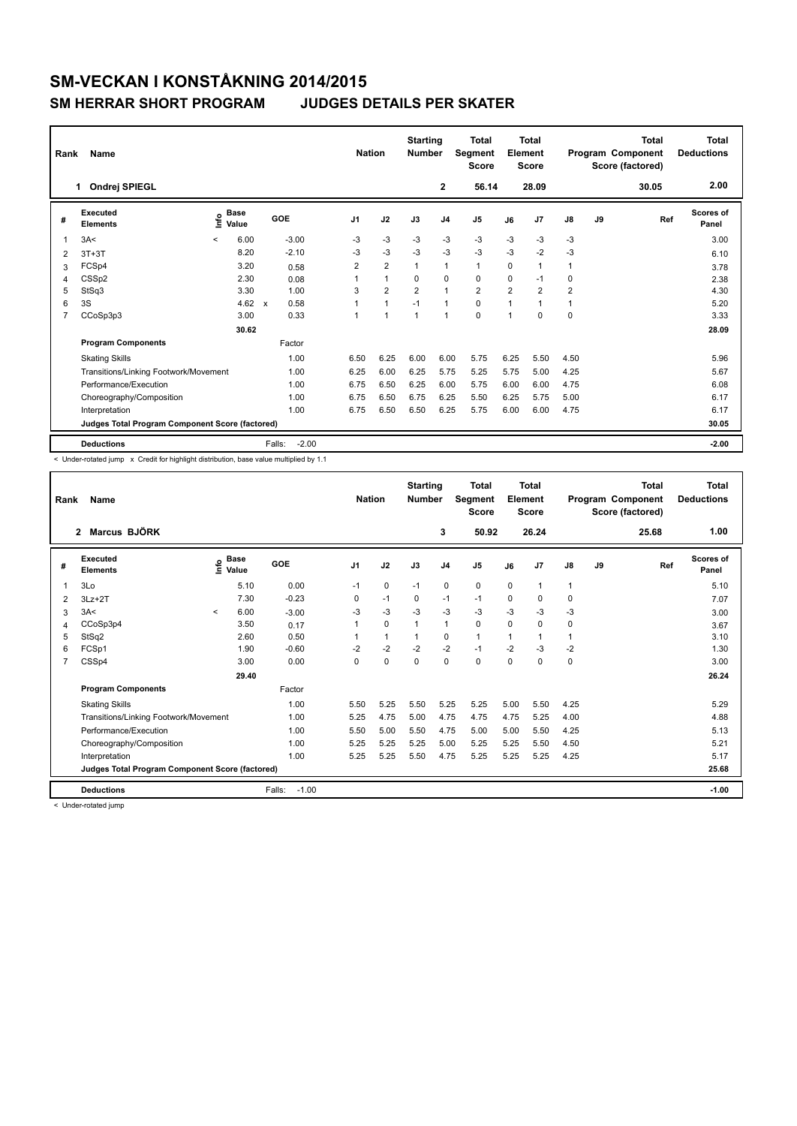## **SM-VECKAN I KONSTÅKNING 2014/2015**

## **SM HERRAR SHORT PROGRAM JUDGES DETAILS PER SKATER**

| Rank | Name                                            |         | <b>Nation</b>        |                                   | <b>Starting</b><br><b>Number</b> | <b>Total</b><br>Segment<br><b>Score</b> | <b>Total</b><br>Element<br><b>Score</b> |                |                |                | <b>Total</b><br>Program Component<br>Score (factored) | <b>Total</b><br><b>Deductions</b> |    |       |                    |
|------|-------------------------------------------------|---------|----------------------|-----------------------------------|----------------------------------|-----------------------------------------|-----------------------------------------|----------------|----------------|----------------|-------------------------------------------------------|-----------------------------------|----|-------|--------------------|
|      | Ondrej SPIEGL<br>1                              |         |                      |                                   |                                  |                                         |                                         | $\mathbf{2}$   | 56.14          |                | 28.09                                                 |                                   |    | 30.05 | 2.00               |
| #    | Executed<br><b>Elements</b>                     | ١nf٥    | <b>Base</b><br>Value | GOE                               | J <sub>1</sub>                   | J2                                      | J3                                      | J <sub>4</sub> | J5             | J6             | J7                                                    | $\mathsf{J}8$                     | J9 | Ref   | Scores of<br>Panel |
| 1    | 3A<                                             | $\prec$ | 6.00                 | $-3.00$                           | $-3$                             | $-3$                                    | $-3$                                    | $-3$           | $-3$           | $-3$           | $-3$                                                  | $-3$                              |    |       | 3.00               |
| 2    | $3T+3T$                                         |         | 8.20                 | $-2.10$                           | $-3$                             | $-3$                                    | $-3$                                    | $-3$           | $-3$           | $-3$           | $-2$                                                  | $-3$                              |    |       | 6.10               |
| 3    | FCSp4                                           |         | 3.20                 | 0.58                              | $\overline{2}$                   | $\overline{2}$                          | $\mathbf{1}$                            | $\mathbf{1}$   | $\mathbf{1}$   | 0              | $\mathbf{1}$                                          | 1                                 |    |       | 3.78               |
| 4    | CSSp2                                           |         | 2.30                 | 0.08                              | 1                                | $\mathbf{1}$                            | $\Omega$                                | $\Omega$       | $\mathbf 0$    | $\Omega$       | $-1$                                                  | 0                                 |    |       | 2.38               |
| 5    | StSq3                                           |         | 3.30                 | 1.00                              | 3                                | $\overline{2}$                          | $\overline{2}$                          | $\mathbf{1}$   | $\overline{2}$ | $\overline{2}$ | 2                                                     | 2                                 |    |       | 4.30               |
| 6    | 3S                                              |         | 4.62                 | 0.58<br>$\boldsymbol{\mathsf{x}}$ | 1                                | $\overline{1}$                          | $-1$                                    | $\overline{1}$ | $\mathbf 0$    | $\overline{1}$ | 1                                                     | 1                                 |    |       | 5.20               |
| 7    | CCoSp3p3                                        |         | 3.00                 | 0.33                              |                                  | $\overline{1}$                          | $\overline{1}$                          | $\overline{1}$ | $\Omega$       | $\mathbf{1}$   | $\Omega$                                              | 0                                 |    |       | 3.33               |
|      | 30.62                                           |         |                      |                                   |                                  |                                         |                                         |                |                |                |                                                       |                                   |    |       | 28.09              |
|      | <b>Program Components</b>                       |         |                      | Factor                            |                                  |                                         |                                         |                |                |                |                                                       |                                   |    |       |                    |
|      | <b>Skating Skills</b>                           |         |                      | 1.00                              | 6.50                             | 6.25                                    | 6.00                                    | 6.00           | 5.75           | 6.25           | 5.50                                                  | 4.50                              |    |       | 5.96               |
|      | Transitions/Linking Footwork/Movement           |         |                      | 1.00                              | 6.25                             | 6.00                                    | 6.25                                    | 5.75           | 5.25           | 5.75           | 5.00                                                  | 4.25                              |    |       | 5.67               |
|      | Performance/Execution                           |         |                      | 1.00                              | 6.75                             | 6.50                                    | 6.25                                    | 6.00           | 5.75           | 6.00           | 6.00                                                  | 4.75                              |    |       | 6.08               |
|      | Choreography/Composition                        |         |                      | 1.00                              | 6.75                             | 6.50                                    | 6.75                                    | 6.25           | 5.50           | 6.25           | 5.75                                                  | 5.00                              |    |       | 6.17               |
|      | Interpretation                                  |         |                      | 1.00                              | 6.75                             | 6.50                                    | 6.50                                    | 6.25           | 5.75           | 6.00           | 6.00                                                  | 4.75                              |    |       | 6.17               |
|      | Judges Total Program Component Score (factored) |         |                      |                                   |                                  |                                         |                                         |                |                |                |                                                       |                                   |    |       | 30.05              |
|      | <b>Deductions</b>                               |         |                      | Falls:                            | $-2.00$                          |                                         |                                         |                |                |                |                                                       |                                   |    |       | $-2.00$            |

< Under-rotated jump x Credit for highlight distribution, base value multiplied by 1.1

| Rank | Name                                            |         | <b>Nation</b>      |                   | <b>Starting</b><br><b>Number</b> | Total<br>Segment<br><b>Score</b> | <b>Total</b><br>Element<br><b>Score</b> |                |       |              | Total<br>Program Component<br>Score (factored) | <b>Total</b><br><b>Deductions</b> |       |       |                           |
|------|-------------------------------------------------|---------|--------------------|-------------------|----------------------------------|----------------------------------|-----------------------------------------|----------------|-------|--------------|------------------------------------------------|-----------------------------------|-------|-------|---------------------------|
|      | Marcus BJÖRK<br>$\overline{2}$                  |         |                    |                   |                                  |                                  |                                         | 3              | 50.92 |              | 26.24                                          |                                   |       | 25.68 | 1.00                      |
| #    | Executed<br><b>Elements</b>                     |         | $\frac{e}{E}$ Base | GOE               | J <sub>1</sub>                   | J2                               | J3                                      | J <sub>4</sub> | J5    | J6           | J7                                             | J8                                | J9    | Ref   | <b>Scores of</b><br>Panel |
| 1    | 3Lo                                             |         | 5.10               | 0.00              | $-1$                             | $\mathbf 0$                      | $-1$                                    | $\mathbf 0$    | 0     | $\mathbf 0$  | $\mathbf 1$                                    | 1                                 |       |       | 5.10                      |
| 2    | $3Lz + 2T$                                      |         | 7.30               | $-0.23$           | 0                                | $-1$                             | 0                                       | $-1$           | $-1$  | $\Omega$     | 0                                              | 0                                 |       |       | 7.07                      |
| 3    | 3A<                                             | $\prec$ | 6.00               | $-3.00$           | -3                               | $-3$                             | -3                                      | $-3$           | $-3$  | $-3$         | -3                                             | $-3$                              |       |       | 3.00                      |
| 4    | CCoSp3p4                                        |         | 3.50               | 0.17              |                                  | 0                                | 1                                       | 1              | 0     | $\Omega$     | 0                                              | 0                                 |       |       | 3.67                      |
| 5    | StSq2                                           |         | 2.60               | 0.50              |                                  | $\mathbf{1}$                     |                                         | $\Omega$       | 1     | $\mathbf{1}$ | 1                                              | 1                                 |       |       | 3.10                      |
| 6    | FCSp1                                           |         | 1.90               | $-0.60$           | $-2$                             | $-2$                             | $-2$                                    | $-2$           | $-1$  | $-2$         | $-3$                                           | $-2$                              |       |       | 1.30                      |
| 7    | CSSp4                                           |         | 3.00               | 0.00              | $\Omega$                         | 0                                | 0                                       | 0              | 0     | $\Omega$     | $\Omega$                                       | 0                                 |       |       | 3.00                      |
|      |                                                 |         |                    |                   |                                  |                                  |                                         |                |       |              |                                                |                                   | 26.24 |       |                           |
|      | <b>Program Components</b>                       |         |                    | Factor            |                                  |                                  |                                         |                |       |              |                                                |                                   |       |       |                           |
|      | <b>Skating Skills</b>                           |         |                    | 1.00              | 5.50                             | 5.25                             | 5.50                                    | 5.25           | 5.25  | 5.00         | 5.50                                           | 4.25                              |       |       | 5.29                      |
|      | Transitions/Linking Footwork/Movement           |         |                    | 1.00              | 5.25                             | 4.75                             | 5.00                                    | 4.75           | 4.75  | 4.75         | 5.25                                           | 4.00                              |       |       | 4.88                      |
|      | Performance/Execution                           |         |                    | 1.00              | 5.50                             | 5.00                             | 5.50                                    | 4.75           | 5.00  | 5.00         | 5.50                                           | 4.25                              |       |       | 5.13                      |
|      | Choreography/Composition                        |         |                    | 1.00              | 5.25                             | 5.25                             | 5.25                                    | 5.00           | 5.25  | 5.25         | 5.50                                           | 4.50                              |       |       | 5.21                      |
|      | Interpretation                                  |         |                    | 1.00              | 5.25                             | 5.25                             | 5.50                                    | 4.75           | 5.25  | 5.25         | 5.25                                           | 4.25                              |       |       | 5.17                      |
|      | Judges Total Program Component Score (factored) |         |                    |                   |                                  |                                  |                                         |                |       |              |                                                |                                   |       |       | 25.68                     |
|      | <b>Deductions</b>                               |         |                    | Falls:<br>$-1.00$ |                                  |                                  |                                         |                |       |              |                                                |                                   |       |       | $-1.00$                   |

< Under-rotated jump